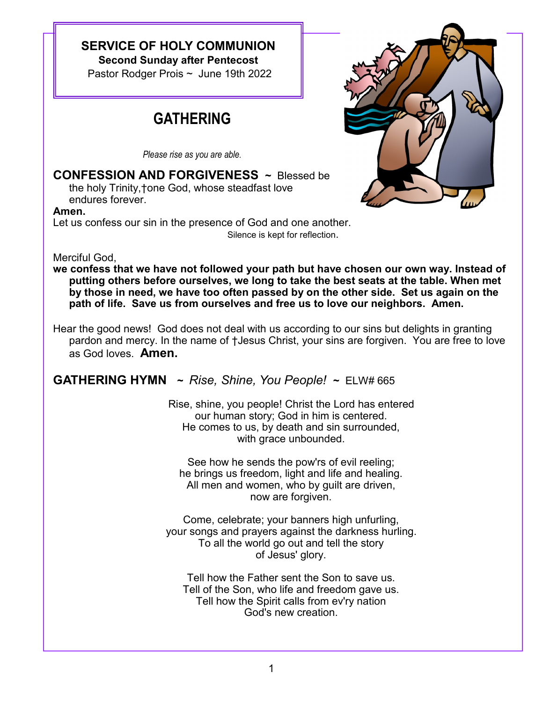# **SERVICE OF HOLY COMMUNION Second Sunday after Pentecost**

Pastor Rodger Prois ~ June 19th 2022

# **GATHERING**

*Please rise as you are able.*

**CONFESSION AND FORGIVENESS ~** Blessed be the holy Trinity,†one God, whose steadfast love endures forever.

**Amen.**

Let us confess our sin in the presence of God and one another. Silence is kept for reflection.



**we confess that we have not followed your path but have chosen our own way. Instead of putting others before ourselves, we long to take the best seats at the table. When met by those in need, we have too often passed by on the other side. Set us again on the path of life. Save us from ourselves and free us to love our neighbors. Amen.**

Hear the good news! God does not deal with us according to our sins but delights in granting pardon and mercy. In the name of †Jesus Christ, your sins are forgiven. You are free to love as God loves. **Amen.**

#### **GATHERING HYMN ~** *Rise, Shine, You People!* **~** ELW# 665

Rise, shine, you people! Christ the Lord has entered our human story; God in him is centered. He comes to us, by death and sin surrounded, with grace unbounded.

See how he sends the pow'rs of evil reeling; he brings us freedom, light and life and healing. All men and women, who by guilt are driven, now are forgiven.

Come, celebrate; your banners high unfurling, your songs and prayers against the darkness hurling. To all the world go out and tell the story of Jesus' glory.

Tell how the Father sent the Son to save us. Tell of the Son, who life and freedom gave us. Tell how the Spirit calls from ev'ry nation God's new creation.

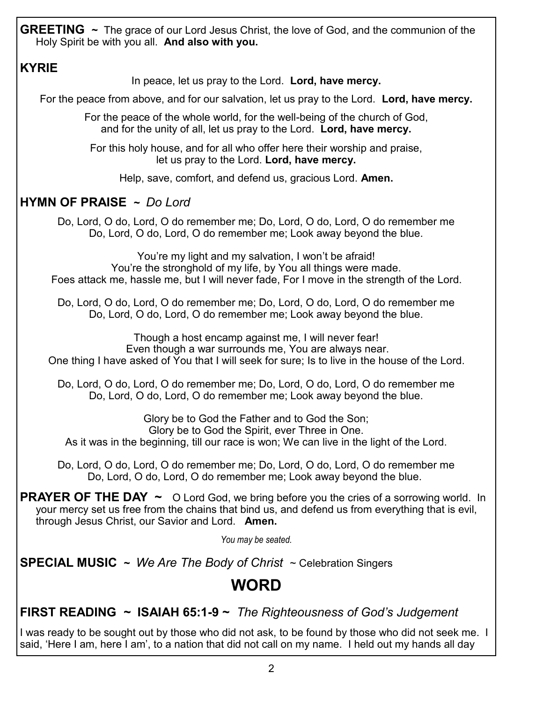**GREETING ~** The grace of our Lord Jesus Christ, the love of God, and the communion of the Holy Spirit be with you all. **And also with you.**

# **KYRIE**

In peace, let us pray to the Lord. **Lord, have mercy.**

For the peace from above, and for our salvation, let us pray to the Lord. **Lord, have mercy.**

For the peace of the whole world, for the well-being of the church of God, and for the unity of all, let us pray to the Lord. **Lord, have mercy.**

For this holy house, and for all who offer here their worship and praise, let us pray to the Lord. **Lord, have mercy.**

Help, save, comfort, and defend us, gracious Lord. **Amen.**

## **HYMN OF PRAISE ~** *Do Lord*

Do, Lord, O do, Lord, O do remember me; Do, Lord, O do, Lord, O do remember me Do, Lord, O do, Lord, O do remember me; Look away beyond the blue.

You're my light and my salvation, I won't be afraid! You're the stronghold of my life, by You all things were made. Foes attack me, hassle me, but I will never fade, For I move in the strength of the Lord.

Do, Lord, O do, Lord, O do remember me; Do, Lord, O do, Lord, O do remember me Do, Lord, O do, Lord, O do remember me; Look away beyond the blue.

Though a host encamp against me, I will never fear! Even though a war surrounds me, You are always near. One thing I have asked of You that I will seek for sure; Is to live in the house of the Lord.

Do, Lord, O do, Lord, O do remember me; Do, Lord, O do, Lord, O do remember me Do, Lord, O do, Lord, O do remember me; Look away beyond the blue.

Glory be to God the Father and to God the Son; Glory be to God the Spirit, ever Three in One. As it was in the beginning, till our race is won; We can live in the light of the Lord.

Do, Lord, O do, Lord, O do remember me; Do, Lord, O do, Lord, O do remember me Do, Lord, O do, Lord, O do remember me; Look away beyond the blue.

**PRAYER OF THE DAY ~** O Lord God, we bring before you the cries of a sorrowing world. In your mercy set us free from the chains that bind us, and defend us from everything that is evil, through Jesus Christ, our Savior and Lord. **Amen.**

*You may be seated.*

**SPECIAL MUSIC ~** *We Are The Body of Christ* ~ Celebration Singers

# **WORD**

**FIRST READING** *~* **ISAIAH 65:1-9 ~** *The Righteousness of God's Judgement*

I was ready to be sought out by those who did not ask, to be found by those who did not seek me. I said, 'Here I am, here I am', to a nation that did not call on my name. I held out my hands all day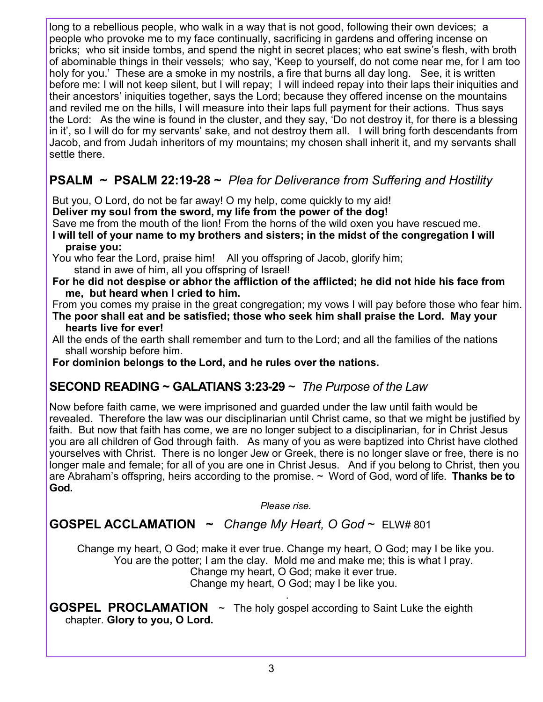long to a rebellious people, who walk in a way that is not good, following their own devices; a people who provoke me to my face continually, sacrificing in gardens and offering incense on bricks; who sit inside tombs, and spend the night in secret places; who eat swine's flesh, with broth of abominable things in their vessels; who say, 'Keep to yourself, do not come near me, for I am too holy for you.' These are a smoke in my nostrils, a fire that burns all day long. See, it is written before me: I will not keep silent, but I will repay; I will indeed repay into their laps their iniquities and their ancestors' iniquities together, says the Lord; because they offered incense on the mountains and reviled me on the hills, I will measure into their laps full payment for their actions. Thus says the Lord: As the wine is found in the cluster, and they say, 'Do not destroy it, for there is a blessing in it', so I will do for my servants' sake, and not destroy them all. I will bring forth descendants from Jacob, and from Judah inheritors of my mountains; my chosen shall inherit it, and my servants shall settle there.

## **PSALM ~ PSALM 22:19-28 ~** *Plea for Deliverance from Suffering and Hostility*

But you, O Lord, do not be far away! O my help, come quickly to my aid!

**Deliver my soul from the sword, my life from the power of the dog!**

Save me from the mouth of the lion! From the horns of the wild oxen you have rescued me.

**I will tell of your name to my brothers and sisters; in the midst of the congregation I will praise you:**

You who fear the Lord, praise him! All you offspring of Jacob, glorify him; stand in awe of him, all you offspring of Israel!

**For he did not despise or abhor the affliction of the afflicted; he did not hide his face from me, but heard when I cried to him.**

From you comes my praise in the great congregation; my vows I will pay before those who fear him.

- **The poor shall eat and be satisfied; those who seek him shall praise the Lord. May your hearts live for ever!**
- All the ends of the earth shall remember and turn to the Lord; and all the families of the nations shall worship before him.

**For dominion belongs to the Lord, and he rules over the nations.**

## **SECOND READING ~ GALATIANS 3:23-29** ~ *The Purpose of the Law*

Now before faith came, we were imprisoned and guarded under the law until faith would be revealed. Therefore the law was our disciplinarian until Christ came, so that we might be justified by faith. But now that faith has come, we are no longer subject to a disciplinarian, for in Christ Jesus you are all children of God through faith. As many of you as were baptized into Christ have clothed yourselves with Christ. There is no longer Jew or Greek, there is no longer slave or free, there is no longer male and female; for all of you are one in Christ Jesus. And if you belong to Christ, then you are Abraham's offspring, heirs according to the promise. ~ Word of God, word of life. **Thanks be to God.**

*Please rise.*

## **GOSPEL ACCLAMATION ~** *Change My Heart, O God* ~ ELW# 801

Change my heart, O God; make it ever true. Change my heart, O God; may I be like you. You are the potter; I am the clay. Mold me and make me; this is what I pray. Change my heart, O God; make it ever true. Change my heart, O God; may I be like you. .

**GOSPEL PROCLAMATION**  $\sim$  The holy gospel according to Saint Luke the eighth chapter. **Glory to you, O Lord.**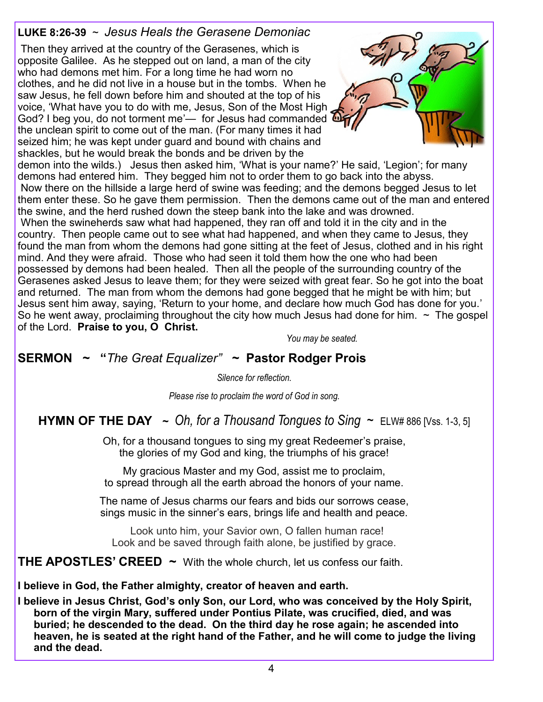#### **LUKE 8:26-39** ~ *Jesus Heals the Gerasene Demoniac*

Then they arrived at the country of the Gerasenes, which is opposite Galilee. As he stepped out on land, a man of the city who had demons met him. For a long time he had worn no clothes, and he did not live in a house but in the tombs. When he saw Jesus, he fell down before him and shouted at the top of his voice, 'What have you to do with me, Jesus, Son of the Most High God? I beg you, do not torment me'— for Jesus had commanded  $\blacksquare$ the unclean spirit to come out of the man. (For many times it had seized him; he was kept under guard and bound with chains and shackles, but he would break the bonds and be driven by the



demon into the wilds.) Jesus then asked him, 'What is your name?' He said, 'Legion'; for many demons had entered him. They begged him not to order them to go back into the abyss. Now there on the hillside a large herd of swine was feeding; and the demons begged Jesus to let them enter these. So he gave them permission. Then the demons came out of the man and entered the swine, and the herd rushed down the steep bank into the lake and was drowned.

When the swineherds saw what had happened, they ran off and told it in the city and in the country. Then people came out to see what had happened, and when they came to Jesus, they found the man from whom the demons had gone sitting at the feet of Jesus, clothed and in his right mind. And they were afraid. Those who had seen it told them how the one who had been possessed by demons had been healed. Then all the people of the surrounding country of the Gerasenes asked Jesus to leave them; for they were seized with great fear. So he got into the boat and returned. The man from whom the demons had gone begged that he might be with him; but Jesus sent him away, saying, 'Return to your home, and declare how much God has done for you.' So he went away, proclaiming throughout the city how much Jesus had done for him.  $\sim$  The gospel of the Lord. **Praise to you, O Christ.**

 *You may be seated.*

## **SERMON ~ "***The Great Equalizer"* **~ Pastor Rodger Prois**

*Silence for reflection.*

*Please rise to proclaim the word of God in song.*

### **HYMN OF THE DAY**  $\sim$  *Oh, for a Thousand Tongues to Sing*  $\sim$  ELW# 886 [Vss. 1-3, 5]

Oh, for a thousand tongues to sing my great Redeemer's praise, the glories of my God and king, the triumphs of his grace!

My gracious Master and my God, assist me to proclaim, to spread through all the earth abroad the honors of your name.

The name of Jesus charms our fears and bids our sorrows cease, sings music in the sinner's ears, brings life and health and peace.

 Look unto him, your Savior own, O fallen human race! Look and be saved through faith alone, be justified by grace.

**THE APOSTLES' CREED**  $\sim$  **With the whole church, let us confess our faith.** 

**I believe in God, the Father almighty, creator of heaven and earth.**

**I believe in Jesus Christ, God's only Son, our Lord, who was conceived by the Holy Spirit, born of the virgin Mary, suffered under Pontius Pilate, was crucified, died, and was buried; he descended to the dead. On the third day he rose again; he ascended into heaven, he is seated at the right hand of the Father, and he will come to judge the living and the dead.**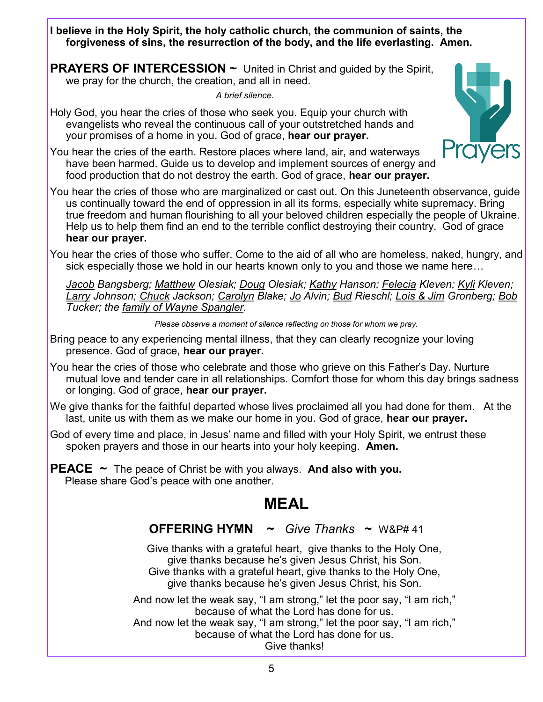**I believe in the Holy Spirit, the holy catholic church, the communion of saints, the forgiveness of sins, the resurrection of the body, and the life everlasting. Amen.**

**PRAYERS OF INTERCESSION ~** United in Christ and guided by the Spirit, we pray for the church, the creation, and all in need.

*A brief silence.*

Holy God, you hear the cries of those who seek you. Equip your church with evangelists who reveal the continuous call of your outstretched hands and your promises of a home in you. God of grace, **hear our prayer.**



You hear the cries of the earth. Restore places where land, air, and waterways have been harmed. Guide us to develop and implement sources of energy and food production that do not destroy the earth. God of grace, **hear our prayer.**

You hear the cries of those who are marginalized or cast out. On this Juneteenth observance, guide us continually toward the end of oppression in all its forms, especially white supremacy. Bring true freedom and human flourishing to all your beloved children especially the people of Ukraine. Help us to help them find an end to the terrible conflict destroying their country. God of grace **hear our prayer.**

You hear the cries of those who suffer. Come to the aid of all who are homeless, naked, hungry, and sick especially those we hold in our hearts known only to you and those we name here…

 *Jacob Bangsberg; Matthew Olesiak; Doug Olesiak; Kathy Hanson; Felecia Kleven; Kyli Kleven; Larry Johnson; Chuck Jackson; Carolyn Blake; Jo Alvin; Bud Rieschl; Lois & Jim Gronberg; Bob Tucker; the family of Wayne Spangler.*

*Please observe a moment of silence reflecting on those for whom we pray.*

- Bring peace to any experiencing mental illness, that they can clearly recognize your loving presence. God of grace, **hear our prayer.**
- You hear the cries of those who celebrate and those who grieve on this Father's Day. Nurture mutual love and tender care in all relationships. Comfort those for whom this day brings sadness or longing. God of grace, **hear our prayer.**
- We give thanks for the faithful departed whose lives proclaimed all you had done for them. At the last, unite us with them as we make our home in you. God of grace, **hear our prayer.**
- God of every time and place, in Jesus' name and filled with your Holy Spirit, we entrust these spoken prayers and those in our hearts into your holy keeping. **Amen.**
- **PEACE ~** The peace of Christ be with you always. **And also with you.**  Please share God's peace with one another.

# **MEAL**

## **OFFERING HYMN ~** *Give Thanks* **~** W&P# 41

Give thanks with a grateful heart, give thanks to the Holy One, give thanks because he's given Jesus Christ, his Son. Give thanks with a grateful heart, give thanks to the Holy One, give thanks because he's given Jesus Christ, his Son.

And now let the weak say, "I am strong," let the poor say, "I am rich," because of what the Lord has done for us.

And now let the weak say, "I am strong," let the poor say, "I am rich," because of what the Lord has done for us. Give thanks!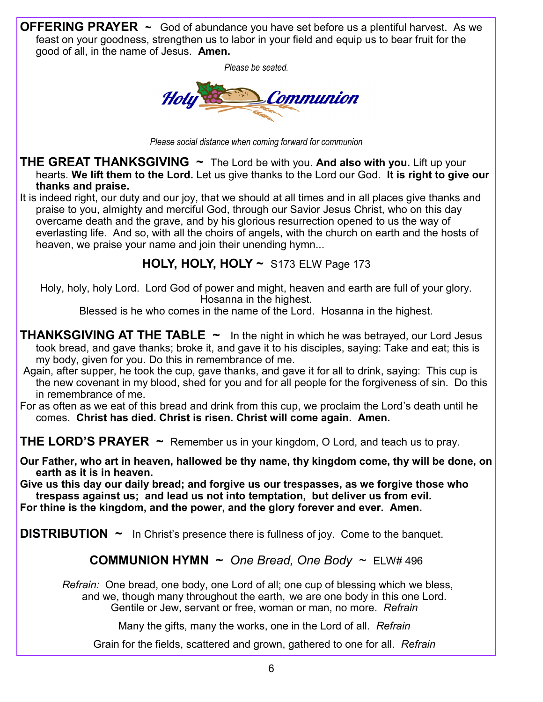**OFFERING PRAYER ~** God of abundance you have set before us a plentiful harvest. As we feast on your goodness, strengthen us to labor in your field and equip us to bear fruit for the good of all, in the name of Jesus. **Amen.**

*Please be seated.*



*Please social distance when coming forward for communion*

**THE GREAT THANKSGIVING ~** The Lord be with you. **And also with you.** Lift up your hearts. **We lift them to the Lord.** Let us give thanks to the Lord our God. **It is right to give our thanks and praise.**

It is indeed right, our duty and our joy, that we should at all times and in all places give thanks and praise to you, almighty and merciful God, through our Savior Jesus Christ, who on this day overcame death and the grave, and by his glorious resurrection opened to us the way of everlasting life. And so, with all the choirs of angels, with the church on earth and the hosts of heaven, we praise your name and join their unending hymn...

**HOLY, HOLY, HOLY ~** S173 ELW Page 173

Holy, holy, holy Lord. Lord God of power and might, heaven and earth are full of your glory. Hosanna in the highest.

Blessed is he who comes in the name of the Lord. Hosanna in the highest.

**THANKSGIVING AT THE TABLE**  $\sim$  In the night in which he was betrayed, our Lord Jesus took bread, and gave thanks; broke it, and gave it to his disciples, saying: Take and eat; this is my body, given for you. Do this in remembrance of me.

Again, after supper, he took the cup, gave thanks, and gave it for all to drink, saying: This cup is the new covenant in my blood, shed for you and for all people for the forgiveness of sin. Do this in remembrance of me.

For as often as we eat of this bread and drink from this cup, we proclaim the Lord's death until he comes. **Christ has died. Christ is risen. Christ will come again. Amen.**

**THE LORD'S PRAYER ~** Remember us in your kingdom, O Lord, and teach us to pray.

**Our Father, who art in heaven, hallowed be thy name, thy kingdom come, thy will be done, on earth as it is in heaven.** 

**Give us this day our daily bread; and forgive us our trespasses, as we forgive those who trespass against us; and lead us not into temptation, but deliver us from evil. For thine is the kingdom, and the power, and the glory forever and ever. Amen.**

**DISTRIBUTION ~** In Christ's presence there is fullness of joy. Come to the banquet.

**COMMUNION HYMN ~** *One Bread, One Body* ~ ELW# 496

*Refrain:* One bread, one body, one Lord of all; one cup of blessing which we bless, and we, though many throughout the earth, we are one body in this one Lord. Gentile or Jew, servant or free, woman or man, no more. *Refrain*

Many the gifts, many the works, one in the Lord of all. *Refrain*

Grain for the fields, scattered and grown, gathered to one for all. *Refrain*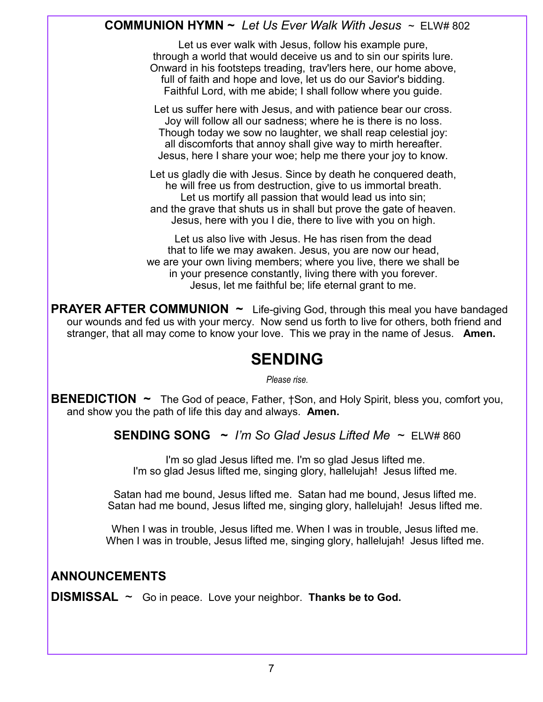#### **COMMUNION HYMN ~** *Let Us Ever Walk With Jesus* ~ ELW# 802

Let us ever walk with Jesus, follow his example pure, through a world that would deceive us and to sin our spirits lure. Onward in his footsteps treading, trav'lers here, our home above, full of faith and hope and love, let us do our Savior's bidding. Faithful Lord, with me abide; I shall follow where you guide.

Let us suffer here with Jesus, and with patience bear our cross. Joy will follow all our sadness; where he is there is no loss. Though today we sow no laughter, we shall reap celestial joy: all discomforts that annoy shall give way to mirth hereafter. Jesus, here I share your woe; help me there your joy to know.

Let us gladly die with Jesus. Since by death he conquered death, he will free us from destruction, give to us immortal breath. Let us mortify all passion that would lead us into sin; and the grave that shuts us in shall but prove the gate of heaven. Jesus, here with you I die, there to live with you on high.

Let us also live with Jesus. He has risen from the dead that to life we may awaken. Jesus, you are now our head, we are your own living members; where you live, there we shall be in your presence constantly, living there with you forever. Jesus, let me faithful be; life eternal grant to me.

**PRAYER AFTER COMMUNION ~** Life-giving God, through this meal you have bandaged our wounds and fed us with your mercy. Now send us forth to live for others, both friend and stranger, that all may come to know your love. This we pray in the name of Jesus. **Amen.**

# **SENDING**

*Please rise.*

**BENEDICTION ~** The God of peace, Father, †Son, and Holy Spirit, bless you, comfort you, and show you the path of life this day and always. **Amen.**

**SENDING SONG ~** *I'm So Glad Jesus Lifted Me ~* ELW# 860

I'm so glad Jesus lifted me. I'm so glad Jesus lifted me. I'm so glad Jesus lifted me, singing glory, hallelujah! Jesus lifted me.

Satan had me bound, Jesus lifted me. Satan had me bound, Jesus lifted me. Satan had me bound, Jesus lifted me, singing glory, hallelujah! Jesus lifted me.

When I was in trouble, Jesus lifted me. When I was in trouble, Jesus lifted me. When I was in trouble, Jesus lifted me, singing glory, hallelujah! Jesus lifted me.

## **ANNOUNCEMENTS**

**DISMISSAL** ~ Go in peace. Love your neighbor. **Thanks be to God.**